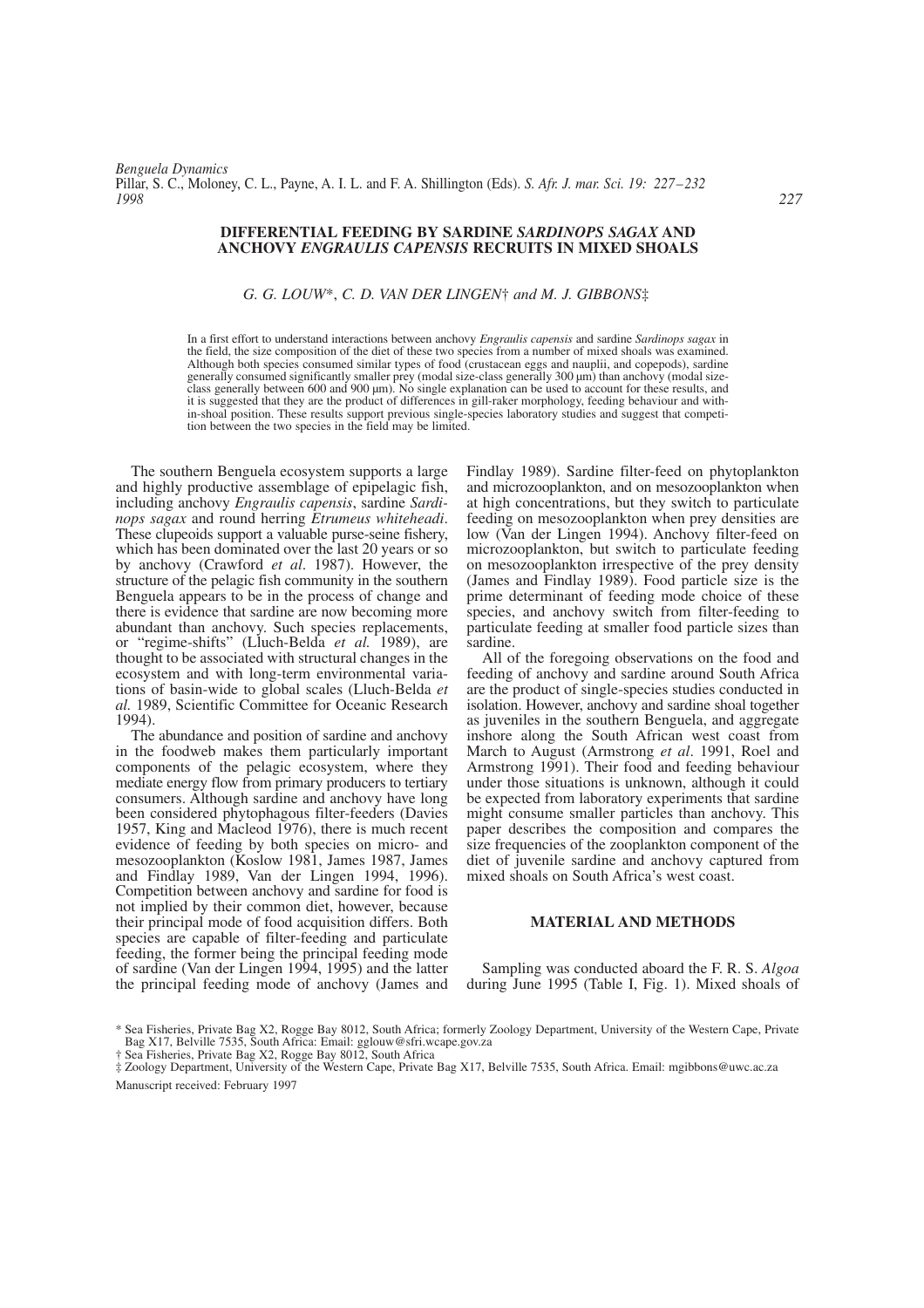*Benguela Dynamics* Pillar, S. C., Moloney, C. L., Payne, A. I. L. and F. A. Shillington (Eds). *S. Afr. J. mar. Sci. 19: 227–232 1998 227*

## **DIFFERENTIAL FEEDING BY SARDINE** *SARDINOPS SAGAX* **AND ANCHOVY** *ENGRAULIS CAPENSIS* **RECRUITS IN MIXED SHOALS**

## *G. G. LOUW*\*, *C. D. VAN DER LINGEN*† *and M. J. GIBBONS*‡

In a first effort to understand interactions between anchovy *Engraulis capensis* and sardine *Sardinops sagax* in the field, the size composition of the diet of these two species from a number of mixed shoals was examined. Although both species consumed similar types of food (crustacean eggs and nauplii, and copepods), sardine generally consumed significantly smaller prey (modal size-class generally 300 µm) than anchovy (modal sizeclass generally between 600 and 900 µm). No single explanation can be used to account for these results, and it is suggested that they are the product of differences in gill-raker morphology, feeding behaviour and within-shoal position. These results support previous single-species laboratory studies and suggest that competition between the two species in the field may be limited.

The southern Benguela ecosystem supports a large and highly productive assemblage of epipelagic fish, including anchovy *Engraulis capensis*, sardine *Sardi-*These clupeoids support a valuable purse-seine fishery, which has been dominated over the last 20 years or so by anchovy (Crawford *et al*. 1987). However, the structure of the pelagic fish community in the southern Benguela appears to be in the process of change and there is evidence that sardine are now becoming more abundant than anchovy. Such species replacements, or "regime-shifts" (Lluch-Belda *et al.* 1989), are thought to be associated with structural changes in the ecosystem and with long-term environmental variations of basin-wide to global scales (Lluch-Belda *et al.* 1989, Scientific Committee for Oceanic Research 1994).

The abundance and position of sardine and anchovy in the foodweb makes them particularly important components of the pelagic ecosystem, where they mediate energy flow from primary producers to tertiary consumers. Although sardine and anchovy have long been considered phytophagous filter-feeders (Davies 1957, King and Macleod 1976), there is much recent evidence of feeding by both species on micro- and mesozooplankton (Koslow 1981, James 1987, James and Findlay 1989, Van der Lingen 1994, 1996). Competition between anchovy and sardine for food is not implied by their common diet, however, because their principal mode of food acquisition differs. Both species are capable of filter-feeding and particulate feeding, the former being the principal feeding mode of sardine (Van der Lingen 1994, 1995) and the latter the principal feeding mode of anchovy (James and Findlay 1989). Sardine filter-feed on phytoplankton and microzooplankton, and on mesozooplankton when at high concentrations, but they switch to particulate feeding on mesozooplankton when prey densities are low (Van der Lingen 1994). Anchovy filter-feed on microzooplankton, but switch to particulate feeding on mesozooplankton irrespective of the prey density (James and Findlay 1989). Food particle size is the prime determinant of feeding mode choice of these species, and anchovy switch from filter-feeding to particulate feeding at smaller food particle sizes than sardine.

All of the foregoing observations on the food and feeding of anchovy and sardine around South Africa are the product of single-species studies conducted in isolation. However, anchovy and sardine shoal together as juveniles in the southern Benguela, and aggregate inshore along the South African west coast from March to August (Armstrong *et al*. 1991, Roel and Armstrong 1991). Their food and feeding behaviour under those situations is unknown, although it could be expected from laboratory experiments that sardine might consume smaller particles than anchovy. This paper describes the composition and compares the size frequencies of the zooplankton component of the diet of juvenile sardine and anchovy captured from mixed shoals on South Africa's west coast.

#### **MATERIAL AND METHODS**

Sampling was conducted aboard the F. R. S. *Algoa* during June 1995 (Table I, Fig. 1). Mixed shoals of

<sup>\*</sup> Sea Fisheries, Private Bag X2, Rogge Bay 8012, South Africa; formerly Zoology Department, University of the Western Cape, Private Bag X17, Belville 7535, South Africa: Email: gglouw@sfri.wcape.gov.za

<sup>†</sup> Sea Fisheries, Private Bag X2, Rogge Bay 8012, South Africa

<sup>‡</sup> Zoology Department, University of the Western Cape, Private Bag X17, Belville 7535, South Africa. Email: mgibbons@uwc.ac.za Manuscript received: February 1997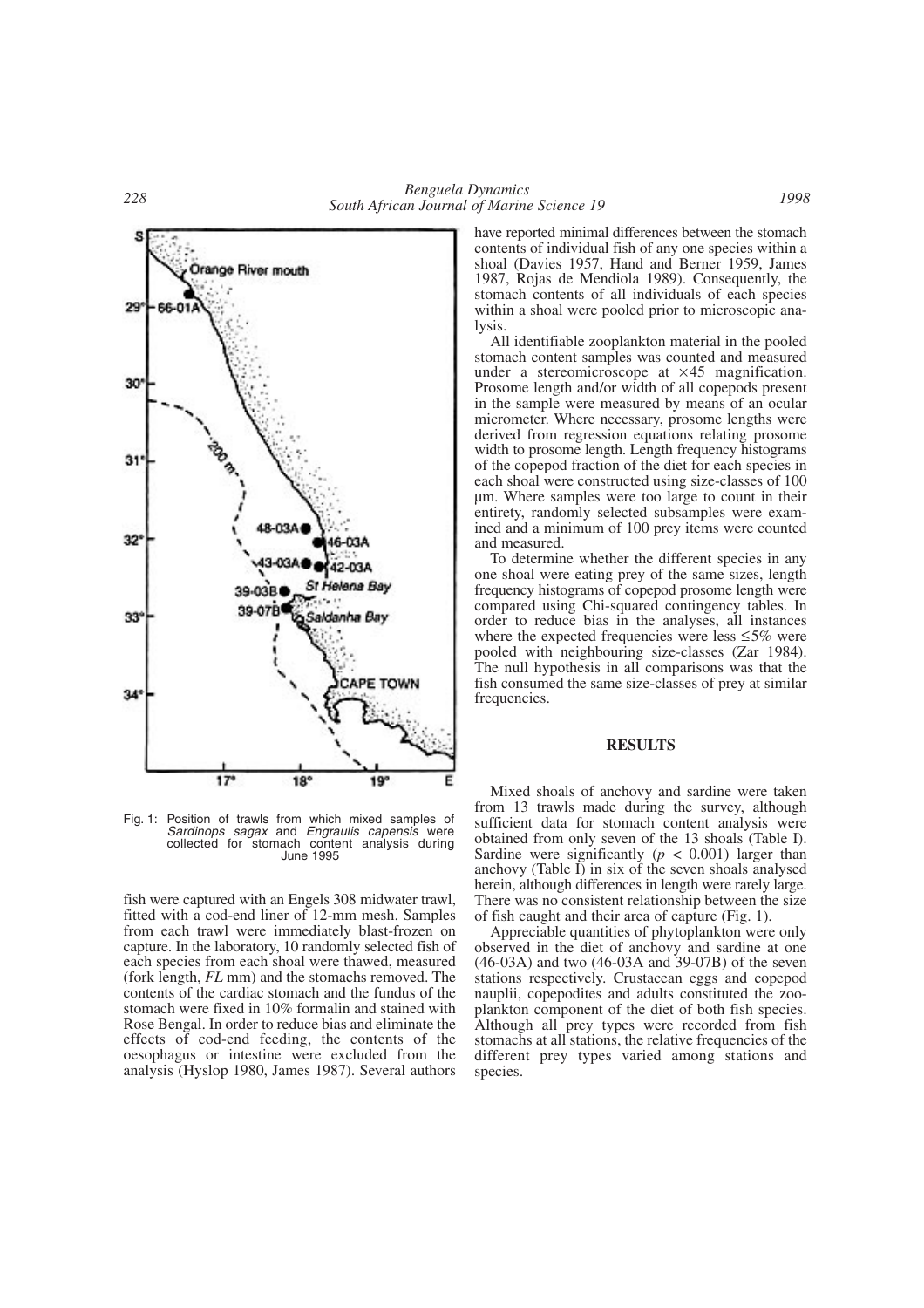

Fig. 1: Position of trawls from which mixed samples of *Sardinops sagax* and *Engraulis capensis* were collected for stomach content analysis during June 1995

fish were captured with an Engels 308 midwater trawl, fitted with a cod-end liner of 12-mm mesh. Samples from each trawl were immediately blast-frozen on capture. In the laboratory, 10 randomly selected fish of each species from each shoal were thawed, measured (fork length, *FL* mm) and the stomachs removed. The contents of the cardiac stomach and the fundus of the stomach were fixed in 10% formalin and stained with Rose Bengal. In order to reduce bias and eliminate the effects of cod-end feeding, the contents of the oesophagus or intestine were excluded from the analysis (Hyslop 1980, James 1987). Several authors

have reported minimal differences between the stomach contents of individual fish of any one species within a shoal (Davies 1957, Hand and Berner 1959, James 1987, Rojas de Mendiola 1989). Consequently, the stomach contents of all individuals of each species within a shoal were pooled prior to microscopic analysis.

All identifiable zooplankton material in the pooled stomach content samples was counted and measured under a stereomicroscope at ×45 magnification. Prosome length and/or width of all copepods present in the sample were measured by means of an ocular micrometer. Where necessary, prosome lengths were derived from regression equations relating prosome width to prosome length. Length frequency histograms of the copepod fraction of the diet for each species in each shoal were constructed using size-classes of 100 µm. Where samples were too large to count in their entirety, randomly selected subsamples were examined and a minimum of 100 prey items were counted and measured.

To determine whether the different species in any one shoal were eating prey of the same sizes, length frequency histograms of copepod prosome length were compared using Chi-squared contingency tables. In order to reduce bias in the analyses, all instances where the expected frequencies were less  $\leq 5\%$  were pooled with neighbouring size-classes (Zar 1984). The null hypothesis in all comparisons was that the fish consumed the same size-classes of prey at similar frequencies.

## **RESULTS**

Mixed shoals of anchovy and sardine were taken from 13 trawls made during the survey, although sufficient data for stomach content analysis were obtained from only seven of the 13 shoals (Table I). Sardine were significantly  $(p < 0.001)$  larger than anchovy (Table I) in six of the seven shoals analysed herein, although differences in length were rarely large. There was no consistent relationship between the size of fish caught and their area of capture (Fig. 1).

Appreciable quantities of phytoplankton were only observed in the diet of anchovy and sardine at one (46-03A) and two (46-03A and 39-07B) of the seven stations respectively. Crustacean eggs and copepod nauplii, copepodites and adults constituted the zooplankton component of the diet of both fish species. Although all prey types were recorded from fish stomachs at all stations, the relative frequencies of the different prey types varied among stations and species.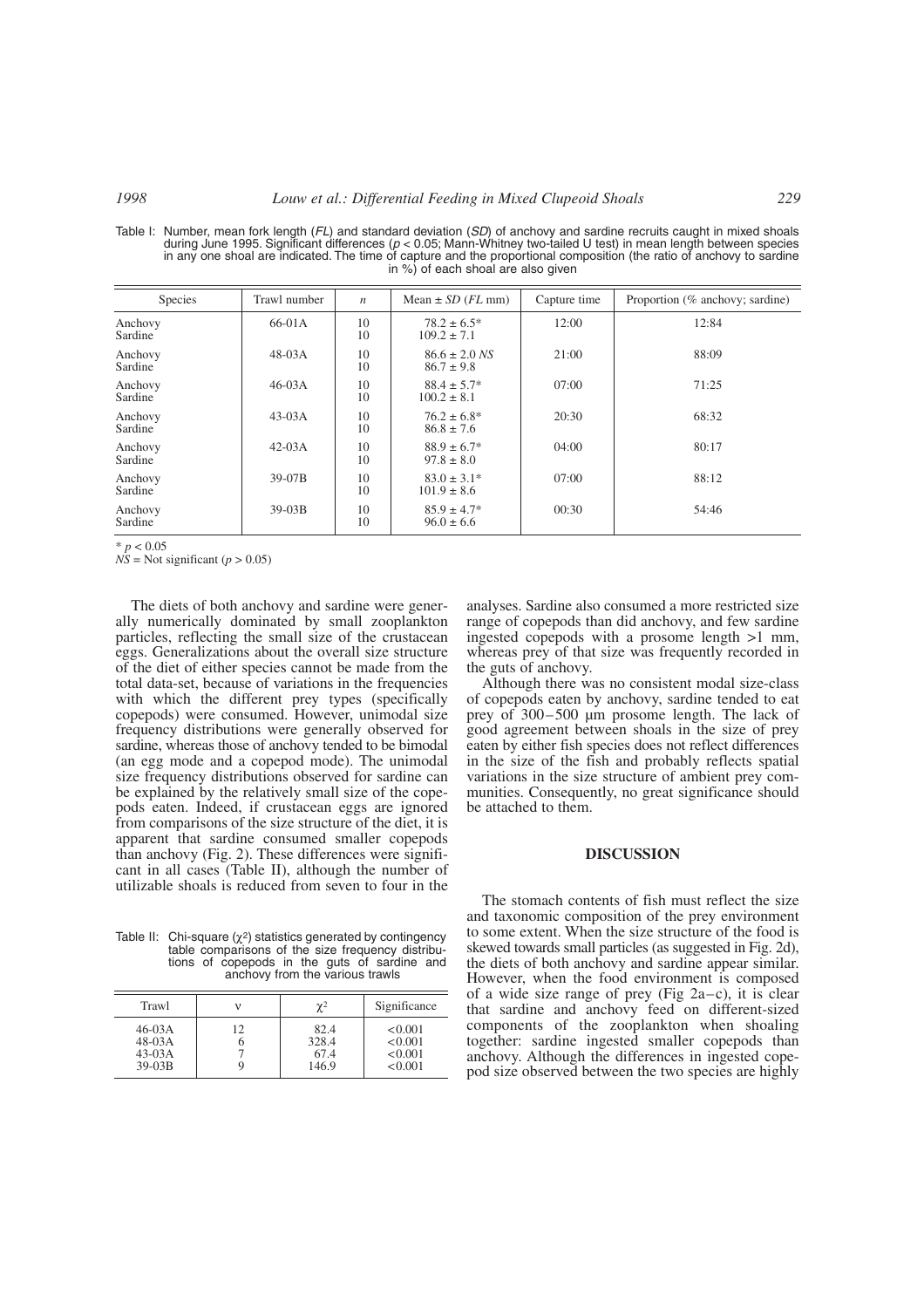Table I: Number, mean fork length (*FL*) and standard deviation (*SD*) of anchovy and sardine recruits caught in mixed shoals during June 1995. Significant differences (*p* < 0.05; Mann-Whitney two-tailed U test) in mean length between species in any one shoal are indicated. The time of capture and the proportional composition (the ratio of anchovy to sardine in %) of each shoal are also given

| Species            | Trawl number | $\boldsymbol{n}$ | Mean $\pm$ SD (FL mm)               | Capture time | Proportion (% anchovy; sardine) |
|--------------------|--------------|------------------|-------------------------------------|--------------|---------------------------------|
| Anchovy<br>Sardine | $66-01A$     | 10<br>10         | $78.2 \pm 6.5^*$<br>$109.2 \pm 7.1$ | 12:00        | 12:84                           |
| Anchovy<br>Sardine | $48-03A$     | 10<br>10         | $86.6 \pm 2.0$ NS<br>$86.7 \pm 9.8$ | 21:00        | 88:09                           |
| Anchovy<br>Sardine | $46-03A$     | 10<br>10         | $88.4 \pm 5.7*$<br>$100.2 \pm 8.1$  | 07:00        | 71:25                           |
| Anchovy<br>Sardine | $43-03A$     | 10<br>10         | $76.2 \pm 6.8^*$<br>$86.8 \pm 7.6$  | 20:30        | 68:32                           |
| Anchovy<br>Sardine | $42-03A$     | 10<br>10         | $88.9 \pm 6.7*$<br>$97.8 \pm 8.0$   | 04:00        | 80:17                           |
| Anchovy<br>Sardine | 39-07B       | 10<br>10         | $83.0 \pm 3.1*$<br>$101.9 \pm 8.6$  | 07:00        | 88:12                           |
| Anchovy<br>Sardine | $39-03B$     | 10<br>10         | $85.9 \pm 4.7*$<br>$96.0 \pm 6.6$   | 00:30        | 54:46                           |

 $* p < 0.05$ 

 $N\hat{S}$  = Not significant (*p* > 0.05)

The diets of both anchovy and sardine were generally numerically dominated by small zooplankton particles, reflecting the small size of the crustacean eggs. Generalizations about the overall size structure of the diet of either species cannot be made from the total data-set, because of variations in the frequencies with which the different prey types (specifically copepods) were consumed. However, unimodal size frequency distributions were generally observed for sardine, whereas those of anchovy tended to be bimodal (an egg mode and a copepod mode). The unimodal size frequency distributions observed for sardine can be explained by the relatively small size of the copepods eaten. Indeed, if crustacean eggs are ignored from comparisons of the size structure of the diet, it is apparent that sardine consumed smaller copepods than anchovy (Fig. 2). These differences were significant in all cases (Table II), although the number of utilizable shoals is reduced from seven to four in the

Table II: Chi-square ( $\chi^2$ ) statistics generated by contingency<br>table comparisons of the size frequency distributions of copepods in the guts of sardine and anchovy from the various trawls

| Trawl                                        |         | $\gamma^2$                     | Significance                             |
|----------------------------------------------|---------|--------------------------------|------------------------------------------|
| $46-03A$<br>$48-03A$<br>$43-03A$<br>$39-03B$ | 12<br>n | 82.4<br>328.4<br>67.4<br>146.9 | < 0.001<br>< 0.001<br>< 0.001<br>< 0.001 |

analyses. Sardine also consumed a more restricted size range of copepods than did anchovy, and few sardine ingested copepods with a prosome length >1 mm, whereas prey of that size was frequently recorded in the guts of anchovy.

Although there was no consistent modal size-class of copepods eaten by anchovy, sardine tended to eat prey of 300–500 µm prosome length. The lack of good agreement between shoals in the size of prey eaten by either fish species does not reflect differences in the size of the fish and probably reflects spatial variations in the size structure of ambient prey communities. Consequently, no great significance should be attached to them.

# **DISCUSSION**

The stomach contents of fish must reflect the size and taxonomic composition of the prey environment to some extent. When the size structure of the food is skewed towards small particles (as suggested in Fig. 2d), the diets of both anchovy and sardine appear similar. However, when the food environment is composed of a wide size range of prey (Fig  $2a-c$ ), it is clear that sardine and anchovy feed on different-sized components of the zooplankton when shoaling together: sardine ingested smaller copepods than anchovy. Although the differences in ingested copepod size observed between the two species are highly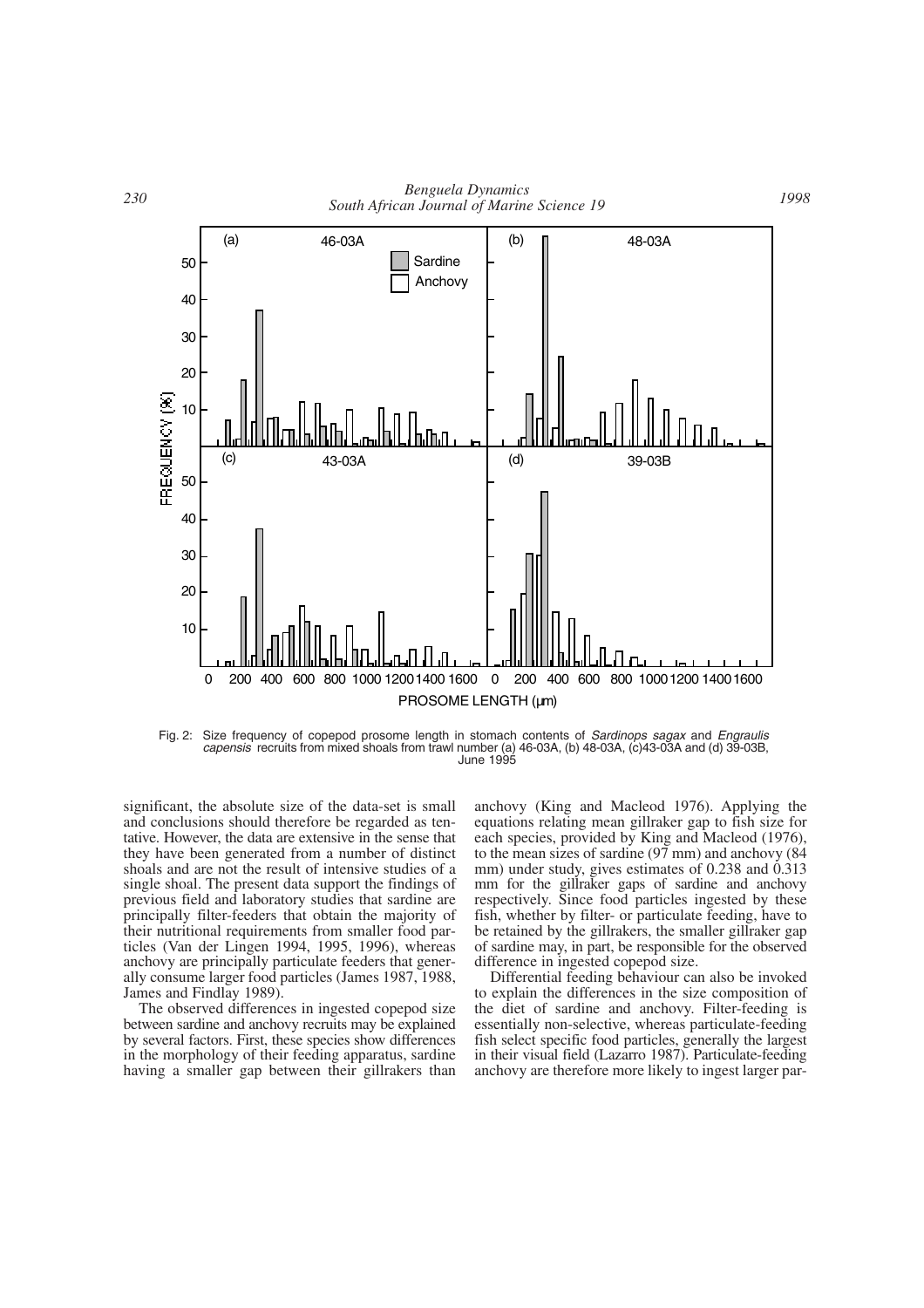

Fig. 2: Size frequency of copepod prosome length in stomach contents of *Sardinops sagax* and *Engraulis capensis* recruits from mixed shoals from trawl number (a) 46-03A, (b) 48-03A, (c)43-03A and (d) 39-03B, June 1995

significant, the absolute size of the data-set is small and conclusions should therefore be regarded as tentative. However, the data are extensive in the sense that they have been generated from a number of distinct shoals and are not the result of intensive studies of a single shoal. The present data support the findings of previous field and laboratory studies that sardine are principally filter-feeders that obtain the majority of their nutritional requirements from smaller food particles (Van der Lingen 1994, 1995, 1996), whereas anchovy are principally particulate feeders that generally consume larger food particles (James 1987, 1988, James and Findlay 1989).

The observed differences in ingested copepod size between sardine and anchovy recruits may be explained by several factors. First, these species show differences in the morphology of their feeding apparatus, sardine having a smaller gap between their gillrakers than

anchovy (King and Macleod 1976). Applying the equations relating mean gillraker gap to fish size for each species, provided by King and Macleod (1976), to the mean sizes of sardine (97 mm) and anchovy (84 mm) under study, gives estimates of 0.238 and 0.313 mm for the gillraker gaps of sardine and anchovy respectively. Since food particles ingested by these fish, whether by filter- or particulate feeding, have to be retained by the gillrakers, the smaller gillraker gap of sardine may, in part, be responsible for the observed difference in ingested copepod size.

Differential feeding behaviour can also be invoked to explain the differences in the size composition of the diet of sardine and anchovy. Filter-feeding is essentially non-selective, whereas particulate-feeding fish select specific food particles, generally the largest in their visual field (Lazarro 1987). Particulate-feeding anchovy are therefore more likely to ingest larger par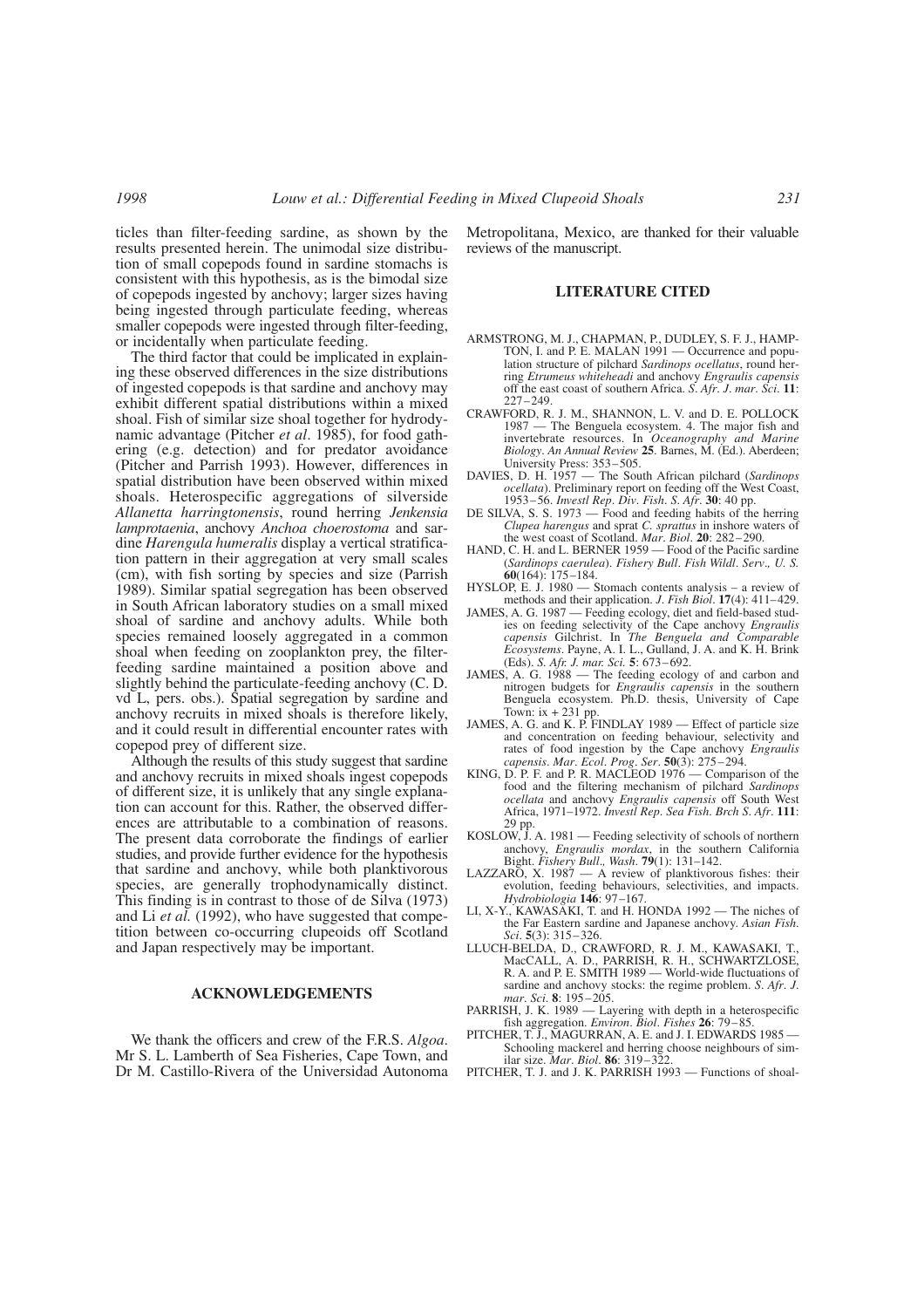ticles than filter-feeding sardine, as shown by the results presented herein. The unimodal size distribution of small copepods found in sardine stomachs is consistent with this hypothesis, as is the bimodal size of copepods ingested by anchovy; larger sizes having being ingested through particulate feeding, whereas smaller copepods were ingested through filter-feeding, or incidentally when particulate feeding.

The third factor that could be implicated in explaining these observed differences in the size distributions of ingested copepods is that sardine and anchovy may exhibit different spatial distributions within a mixed shoal. Fish of similar size shoal together for hydrodynamic advantage (Pitcher *et al*. 1985), for food gathering (e.g. detection) and for predator avoidance (Pitcher and Parrish 1993). However, differences in spatial distribution have been observed within mixed shoals. Heterospecific aggregations of silverside *Allanetta harringtonensis*, round herring *Jenkensia lamprotaenia*, anchovy *Anchoa choerostoma* and sardine *Harengula humeralis* display a vertical stratification pattern in their aggregation at very small scales (cm), with fish sorting by species and size (Parrish 1989). Similar spatial segregation has been observed in South African laboratory studies on a small mixed shoal of sardine and anchovy adults. While both species remained loosely aggregated in a common shoal when feeding on zooplankton prey, the filterfeeding sardine maintained a position above and slightly behind the particulate-feeding anchovy (C. D. vd L, pers. obs.). Spatial segregation by sardine and anchovy recruits in mixed shoals is therefore likely, and it could result in differential encounter rates with copepod prey of different size.

Although the results of this study suggest that sardine and anchovy recruits in mixed shoals ingest copepods of different size, it is unlikely that any single explanation can account for this. Rather, the observed differences are attributable to a combination of reasons. The present data corroborate the findings of earlier studies, and provide further evidence for the hypothesis that sardine and anchovy, while both planktivorous species, are generally trophodynamically distinct. This finding is in contrast to those of de Silva (1973) and Li *et al.* (1992), who have suggested that competition between co-occurring clupeoids off Scotland and Japan respectively may be important.

#### **ACKNOWLEDGEMENTS**

We thank the officers and crew of the F.R.S. *Algoa*. Mr S. L. Lamberth of Sea Fisheries, Cape Town, and Dr M. Castillo-Rivera of the Universidad Autonoma

Metropolitana, Mexico, are thanked for their valuable reviews of the manuscript.

#### **LITERATURE CITED**

- ARMSTRONG, M. J., CHAPMAN, P., DUDLEY, S. F. J., HAMP-TON, I. and P. E. MALAN 1991 — Occurrence and population structure of pilchard *Sardinops ocellatus*, round herring *Etrumeus whiteheadi* and anchovy *Engraulis capensis* off the east coast of southern Africa. *S*. *Afr*. *J*. *mar*. *Sci*. **11**: 227–249.
- CRAWFORD, R. J. M., SHANNON, L. V. and D. E. POLLOCK 1987 — The Benguela ecosystem. 4. The major fish and invertebrate resources. In *Oceanography and Marine Biology*. *An Annual Review* **25**. Barnes, M. (Ed.). Aberdeen; University Press: 353–505. DAVIES, D. H. 1957 — The South African pilchard (*Sardinops*
- *ocellata*). Preliminary report on feeding off the West Coast, 1953–56. *Investl Rep*. *Div*. *Fish*. *S*. *Afr*. **30**: 40 pp.
- DE SILVA, S. S. 1973 Food and feeding habits of the herring *Clupea harengus* and sprat *C. sprattus* in inshore waters of the west coast of Scotland. *Mar*. *Biol*. **20**: 282–290.
- HAND, C. H. and L. BERNER 1959 Food of the Pacific sardine (*Sardinops caerulea*). *Fishery Bull*. *Fish Wildl*. *Serv*.*, U. S.* **60**(164): 175–184.
- HYSLOP, E. J. 1980 Stomach contents analysis a review of methods and their application. *J*. *Fish Biol*. **17**(4): 411–429.
- JAMES, A. G. 1987 Feeding ecology, diet and field-based stud-ies on feeding selectivity of the Cape anchovy *Engraulis capensis* Gilchrist. In *The Benguela and Comparable Ecosystems*. Payne, A. I. L., Gulland, J. A. and K. H. Brink (Eds). *S. Afr. J. mar. Sci.* **5**: 673–692.
- JAMES, A. G. 1988 The feeding ecology of and carbon and nitrogen budgets for *Engraulis capensis* in the southern Benguela ecosystem. Ph.D. thesis, University of Cape Town:  $ix + 231$  pp.
- JAMES, A. G. and K. P. FINDLAY 1989 Effect of particle size and concentration on feeding behaviour, selectivity and rates of food ingestion by the Cape anchovy *Engraulis capensis*. *Mar*. *Ecol*. *Prog*. *Ser*. **50**(3): 275–294.
- KING, D. P. F. and P. R. MACLEOD 1976 Comparison of the food and the filtering mechanism of pilchard *Sardinops ocellata* and anchovy *Engraulis capensis* off South West Africa, 1971–1972. *Investl Rep*. *Sea Fish*. *Brch S*. *Afr*. **111**: 29 pp.
- KOSLOW, J. A. 1981 Feeding selectivity of schools of northern anchovy, *Engraulis mordax*, in the southern California Bight. *Fishery Bull*.*, Wash*. **79**(1): 131–142.
- LAZZARO, X. 1987 A review of planktivorous fishes: their evolution, feeding behaviours, selectivities, and impacts. *Hydrobiologia* **146**: 97–167.
- LI, X-Y., KAWASAKI, T. and H. HONDA 1992 The niches of the Far Eastern sardine and Japanese anchovy. *Asian Fish*. *Sci*. **5**(3): 315–326.
- LLUCH-BELDA, D., CRAWFORD, R. J. M., KAWASAKI, T., MacCALL, A. D., PARRISH, R. H., SCHWARTZLOSE, R. A. and P. E. SMITH 1989 — World-wide fluctuations of sardine and anchovy stocks: the regime problem. *S*. *Afr*. *J*. *mar*. *Sci*. **8**: 195–205.
- PARRISH, J. K. 1989 Layering with depth in a heterospecific fish aggregation. *Environ*. *Biol*. *Fishes* **26**: 79–85.
- PITCHER, T. J., MAGURRAN, A. E. and J. I. EDWARDS 1985 Schooling mackerel and herring choose neighbours of sim-ilar size. *Mar*. *Biol*. **86**: 319–322.
- PITCHER, T. J. and J. K. PARRISH 1993 Functions of shoal-